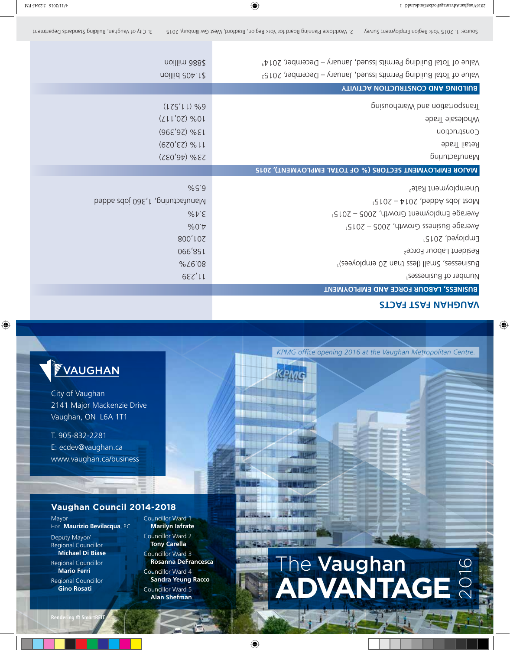## **FVAUGHAN**

City of Vaughan 2141 Major Mackenzie Drive Vaughan, ON L6A 1T1

T. 905-832-2281 E: ecdev@vaughan.ca www.vaughan.ca/business

#### **Vaughan Council 2014-2018**

Mayor Hon. **Maurizio Bevilacqua**, P.C.

Deputy Mayor/ Regional Councillor **Michael Di Biase** Regional Councillor **Mario Ferri** Regional Councillor

**Gino Rosati**

Councillor Ward 1 **Marilyn Iafrate** **ENTIFIC** <u>La bibliotti in in</u>

Councillor Ward 2 **Tony Carella** Councillor Ward 3 **Rosanna DeFrancesca**

Councillor Ward 4 **Sandra Yeung Racco** Councillor Ward 5 **Alan Shefman**

# The **Vaughan The Vaughan<br>ADVANTAGE**

*KPMG office opening 2016 at the Vaughan Metropolitan Centre.*

**Rendering © SmartREI**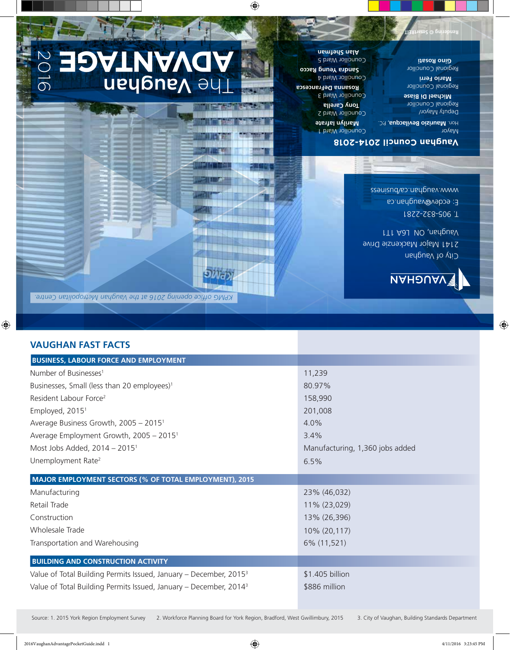### **VAUGHAN FAST FACTS**

| <b>BUSINESS, LABOUR FORCE AND EMPLOYMENT</b>                                  |                                 |
|-------------------------------------------------------------------------------|---------------------------------|
| Number of Businesses <sup>1</sup>                                             | 11,239                          |
| Businesses, Small (less than 20 employees) <sup>1</sup>                       | 80.97%                          |
| Resident Labour Force <sup>2</sup>                                            | 158,990                         |
| Employed, 2015 <sup>1</sup>                                                   | 201,008                         |
| Average Business Growth, 2005 - 2015 <sup>1</sup>                             | 4.0%                            |
| Average Employment Growth, 2005 - 2015 <sup>1</sup>                           | 3.4%                            |
| Most Jobs Added, $2014 - 2015$ <sup>1</sup>                                   | Manufacturing, 1,360 jobs added |
| Unemployment Rate <sup>2</sup>                                                | 6.5%                            |
| MAJOR EMPLOYMENT SECTORS (% OF TOTAL EMPLOYMENT), 2015                        |                                 |
| Manufacturing                                                                 | 23% (46,032)                    |
| Retail Trade                                                                  | 11% (23,029)                    |
| Construction                                                                  | 13% (26,396)                    |
| Wholesale Trade                                                               | 10% (20,117)                    |
| Transportation and Warehousing                                                | 6% (11,521)                     |
| <b>BUILDING AND CONSTRUCTION ACTIVITY</b>                                     |                                 |
| Value of Total Building Permits Issued, January - December, 2015 <sup>3</sup> | \$1.405 billion                 |
| Value of Total Building Permits Issued, January - December, 2014 <sup>3</sup> | \$886 million                   |